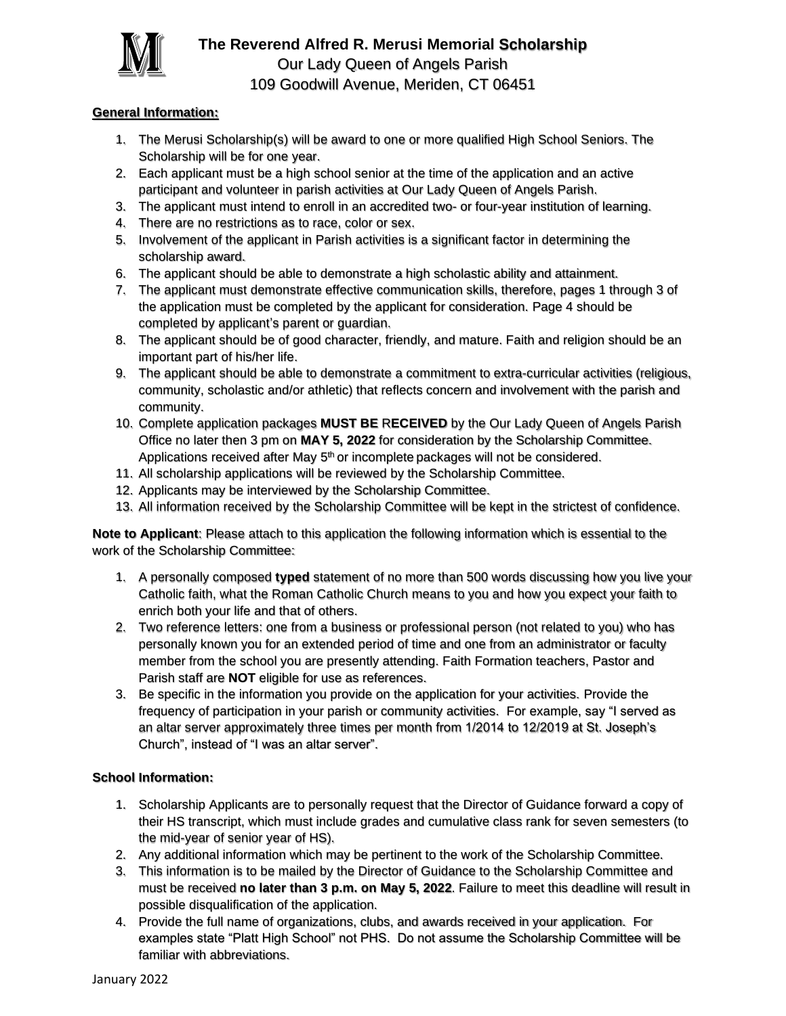

#### **General Information:**

- 1. The Merusi Scholarship(s) will be award to one or more qualified High School Seniors. The Scholarship will be for one year.
- 2. Each applicant must be a high school senior at the time of the application and an active participant and volunteer in parish activities at Our Lady Queen of Angels Parish.
- 3. The applicant must intend to enroll in an accredited two- or four-year institution of learning.
- 4. There are no restrictions as to race, color or sex.
- 5. Involvement of the applicant in Parish activities is a significant factor in determining the scholarship award.
- 6. The applicant should be able to demonstrate a high scholastic ability and attainment.
- 7. The applicant must demonstrate effective communication skills, therefore, pages 1 through 3 of the application must be completed by the applicant for consideration. Page 4 should be completed by applicant's parent or guardian.
- 8. The applicant should be of good character, friendly, and mature. Faith and religion should be an important part of his/her life.
- 9. The applicant should be able to demonstrate a commitment to extra-curricular activities (religious, community, scholastic and/or athletic) that reflects concern and involvement with the parish and community.
- 10. Complete application packages **MUST BE** R**ECEIVED** by the Our Lady Queen of Angels Parish Office no later then 3 pm on **MAY 5, 2022** for consideration by the Scholarship Committee. Applications received after May 5<sup>th</sup> or incomplete packages will not be considered.
- 11. All scholarship applications will be reviewed by the Scholarship Committee.
- 12. Applicants may be interviewed by the Scholarship Committee.
- 13. All information received by the Scholarship Committee will be kept in the strictest of confidence.

**Note to Applicant**: Please attach to this application the following information which is essential to the work of the Scholarship Committee:

- 1. A personally composed **typed** statement of no more than 500 words discussing how you live your Catholic faith, what the Roman Catholic Church means to you and how you expect your faith to enrich both your life and that of others.
- 2. Two reference letters: one from a business or professional person (not related to you) who has personally known you for an extended period of time and one from an administrator or faculty member from the school you are presently attending. Faith Formation teachers, Pastor and Parish staff are **NOT** eligible for use as references.
- 3. Be specific in the information you provide on the application for your activities. Provide the frequency of participation in your parish or community activities. For example, say "I served as an altar server approximately three times per month from 1/2014 to 12/2019 at St. Joseph's Church", instead of "I was an altar server".

#### **School Information:**

- 1. Scholarship Applicants are to personally request that the Director of Guidance forward a copy of their HS transcript, which must include grades and cumulative class rank for seven semesters (to the mid-year of senior year of HS).
- 2. Any additional information which may be pertinent to the work of the Scholarship Committee.
- 3. This information is to be mailed by the Director of Guidance to the Scholarship Committee and must be received **no later than 3 p.m. on May 5, 2022**. Failure to meet this deadline will result in possible disqualification of the application.
- 4. Provide the full name of organizations, clubs, and awards received in your application. For examples state "Platt High School" not PHS. Do not assume the Scholarship Committee will be familiar with abbreviations.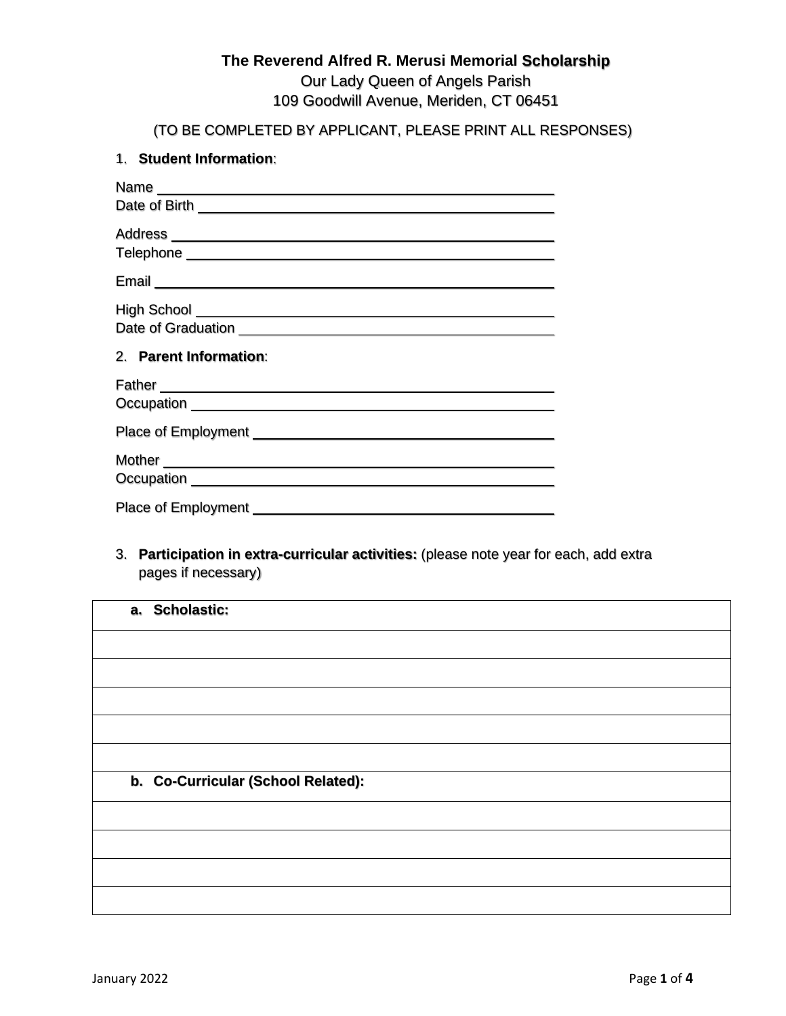# **The Reverend Alfred R. Merusi Memorial Scholarship** Our Lady Queen of Angels Parish

109 Goodwill Avenue, Meriden, CT 06451

(TO BE COMPLETED BY APPLICANT, PLEASE PRINT ALL RESPONSES)

### 1. **Student Information**:

| 2. Parent Information:                                                                                                                                                                                                             |
|------------------------------------------------------------------------------------------------------------------------------------------------------------------------------------------------------------------------------------|
|                                                                                                                                                                                                                                    |
| Father <b>Example 2018 Contract Contract Contract Contract Contract Contract Contract Contract Contract Contract Contract Contract Contract Contract Contract Contract Contract Contract Contract Contract Contract Contract C</b> |
|                                                                                                                                                                                                                                    |
| Mother <b>Mother Mother Mother Mother Mother</b>                                                                                                                                                                                   |

3. **Participation in extra-curricular activities:** (please note year for each, add extra pages if necessary)

| a. Scholastic:                     |
|------------------------------------|
|                                    |
|                                    |
|                                    |
|                                    |
|                                    |
| b. Co-Curricular (School Related): |
|                                    |
|                                    |
|                                    |
|                                    |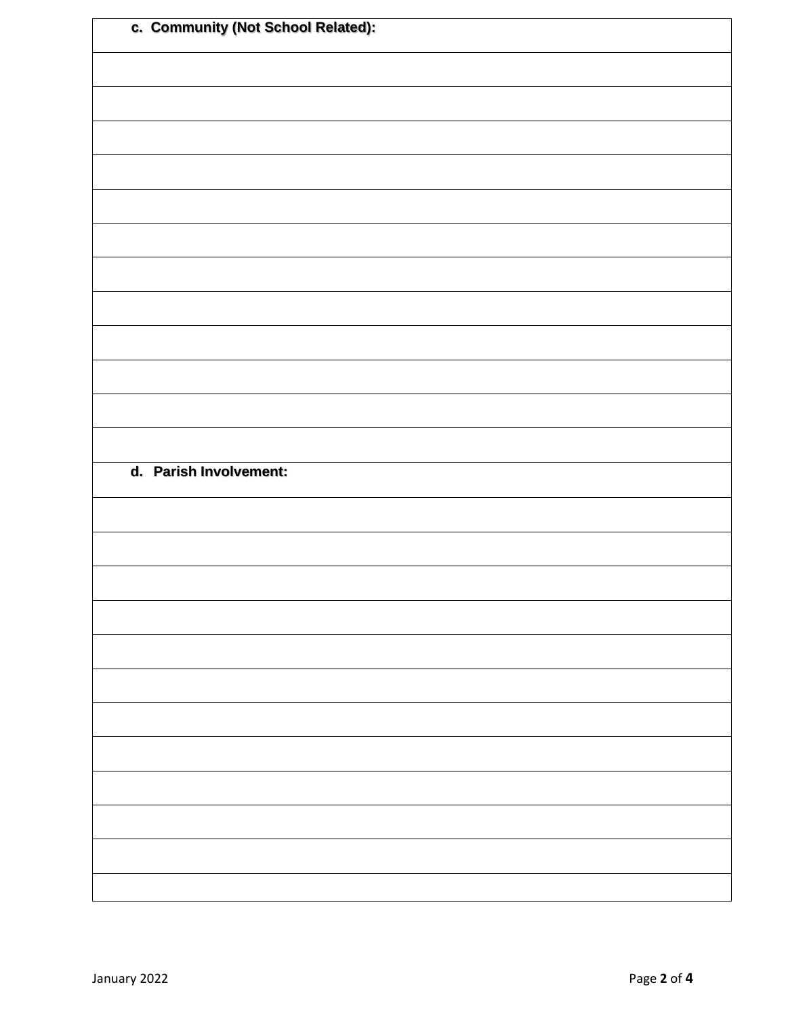| c. Community (Not School Related): |  |
|------------------------------------|--|
|                                    |  |
|                                    |  |
|                                    |  |
|                                    |  |
|                                    |  |
|                                    |  |
|                                    |  |
|                                    |  |
|                                    |  |
|                                    |  |
|                                    |  |
|                                    |  |
| d. Parish Involvement:             |  |
|                                    |  |
|                                    |  |
|                                    |  |
|                                    |  |
|                                    |  |
|                                    |  |
|                                    |  |
|                                    |  |
|                                    |  |
|                                    |  |
|                                    |  |
|                                    |  |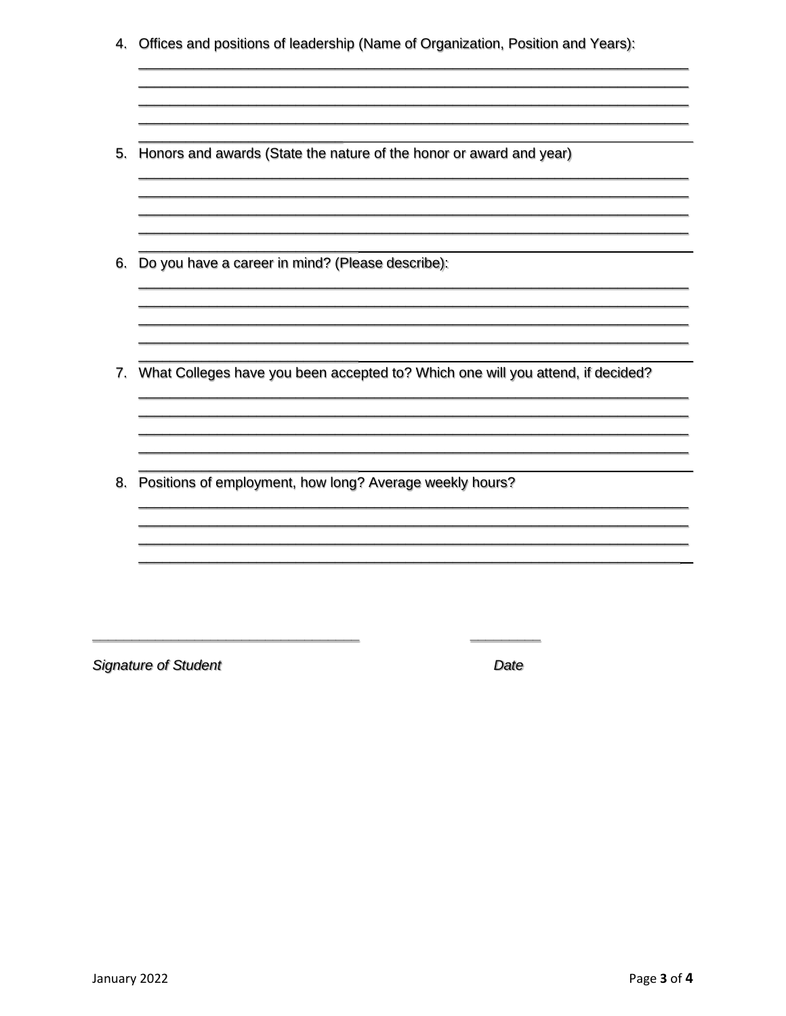4. Offices and positions of leadership (Name of Organization, Position and Years):

<u> 1989 - Jan Berlin, marka menyebara tenagai berasal di sebagai berasal di sebagai berasal di sebagai berasal d</u>

- 5. Honors and awards (State the nature of the honor or award and year)
- 6. Do you have a career in mind? (Please describe):
- 7. What Colleges have you been accepted to? Which one will you attend, if decided?

8. Positions of employment, how long? Average weekly hours?

**Signature of Student** 

Date